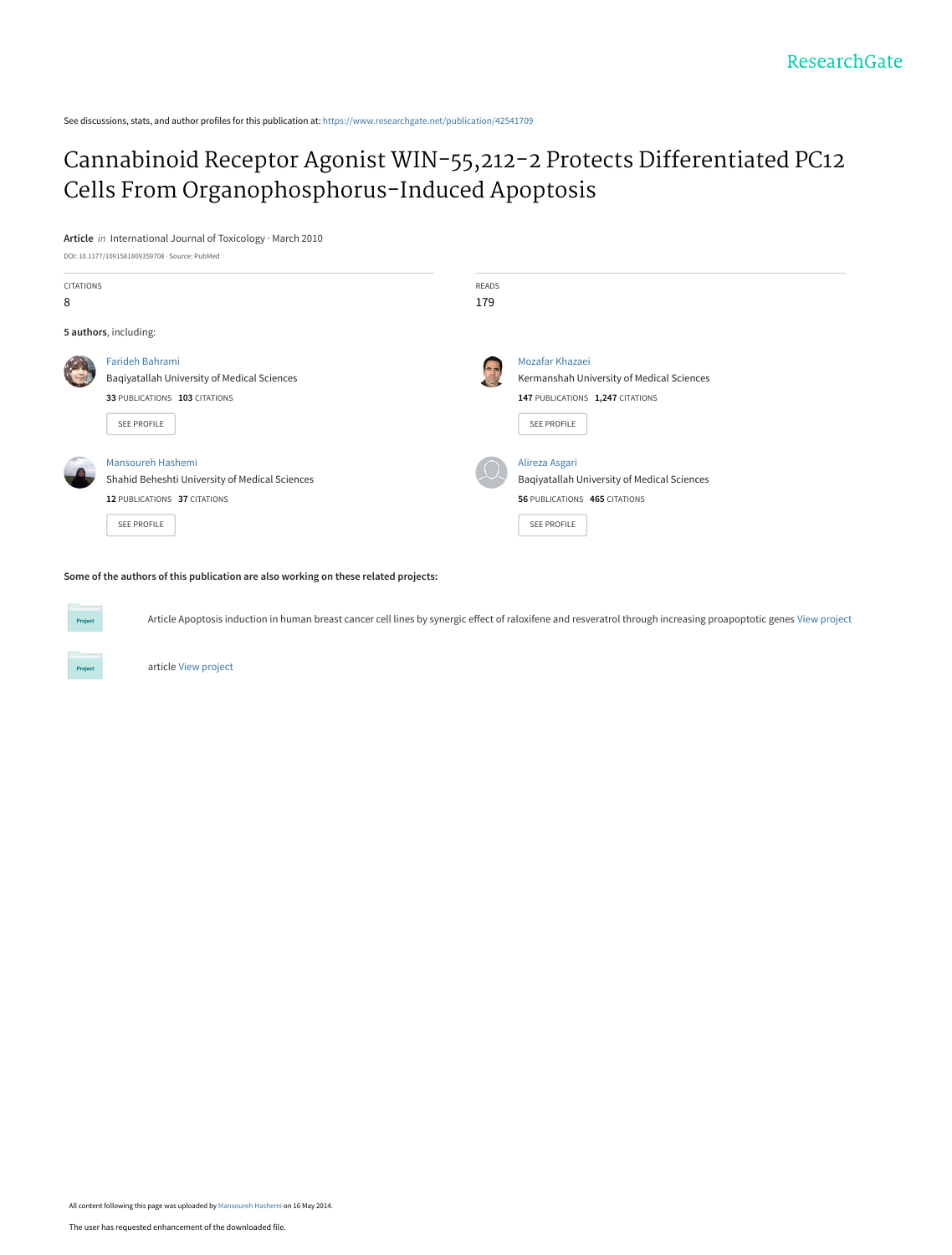See discussions, stats, and author profiles for this publication at: [https://www.researchgate.net/publication/42541709](https://www.researchgate.net/publication/42541709_Cannabinoid_Receptor_Agonist_WIN-55212-2_Protects_Differentiated_PC12_Cells_From_Organophosphorus-Induced_Apoptosis?enrichId=rgreq-4fcfe69533ce54ed622be07a9ae54c2b-XXX&enrichSource=Y292ZXJQYWdlOzQyNTQxNzA5O0FTOjk3NTUyMDQwOTg4Njc3QDE0MDAyNjk2MjczNDc%3D&el=1_x_2&_esc=publicationCoverPdf)

# [Cannabinoid Receptor Agonist WIN-55,212-2 Protects Differentiated PC12](https://www.researchgate.net/publication/42541709_Cannabinoid_Receptor_Agonist_WIN-55212-2_Protects_Differentiated_PC12_Cells_From_Organophosphorus-Induced_Apoptosis?enrichId=rgreq-4fcfe69533ce54ed622be07a9ae54c2b-XXX&enrichSource=Y292ZXJQYWdlOzQyNTQxNzA5O0FTOjk3NTUyMDQwOTg4Njc3QDE0MDAyNjk2MjczNDc%3D&el=1_x_3&_esc=publicationCoverPdf) Cells From Organophosphorus-Induced Apoptosis

#### **Article** in International Journal of Toxicology · March 2010

| DOI: 10.1177/1091581809359708 · Source: PubMed<br><b>CITATIONS</b> |                                                                                                                    | <b>READS</b>                                                                                                         |  |
|--------------------------------------------------------------------|--------------------------------------------------------------------------------------------------------------------|----------------------------------------------------------------------------------------------------------------------|--|
|                                                                    |                                                                                                                    |                                                                                                                      |  |
|                                                                    | 5 authors, including:                                                                                              |                                                                                                                      |  |
|                                                                    | Farideh Bahrami<br>Baqiyatallah University of Medical Sciences                                                     | Mozafar Khazaei<br>$z_{R}$<br>Kermanshah University of Medical Sciences                                              |  |
|                                                                    | 33 PUBLICATIONS 103 CITATIONS<br>SEE PROFILE                                                                       | 147 PUBLICATIONS 1,247 CITATIONS<br><b>SEE PROFILE</b>                                                               |  |
|                                                                    | Mansoureh Hashemi<br>Shahid Beheshti University of Medical Sciences<br>12 PUBLICATIONS 37 CITATIONS<br>SEE PROFILE | Alireza Asgari<br>Baqiyatallah University of Medical Sciences<br>56 PUBLICATIONS 465 CITATIONS<br><b>SEE PROFILE</b> |  |

**Some of the authors of this publication are also working on these related projects:**

Article Apoptosis induction in human breast cancer cell lines by synergic effect of raloxifene and resveratrol through increasing proapoptotic genes [View project](https://www.researchgate.net/project/Article-Apoptosis-induction-in-human-breast-cancer-cell-lines-by-synergic-effect-of-raloxifene-and-resveratrol-through-increasing-proapoptotic-genes?enrichId=rgreq-4fcfe69533ce54ed622be07a9ae54c2b-XXX&enrichSource=Y292ZXJQYWdlOzQyNTQxNzA5O0FTOjk3NTUyMDQwOTg4Njc3QDE0MDAyNjk2MjczNDc%3D&el=1_x_9&_esc=publicationCoverPdf)

article [View project](https://www.researchgate.net/project/article-173?enrichId=rgreq-4fcfe69533ce54ed622be07a9ae54c2b-XXX&enrichSource=Y292ZXJQYWdlOzQyNTQxNzA5O0FTOjk3NTUyMDQwOTg4Njc3QDE0MDAyNjk2MjczNDc%3D&el=1_x_9&_esc=publicationCoverPdf)

**Project**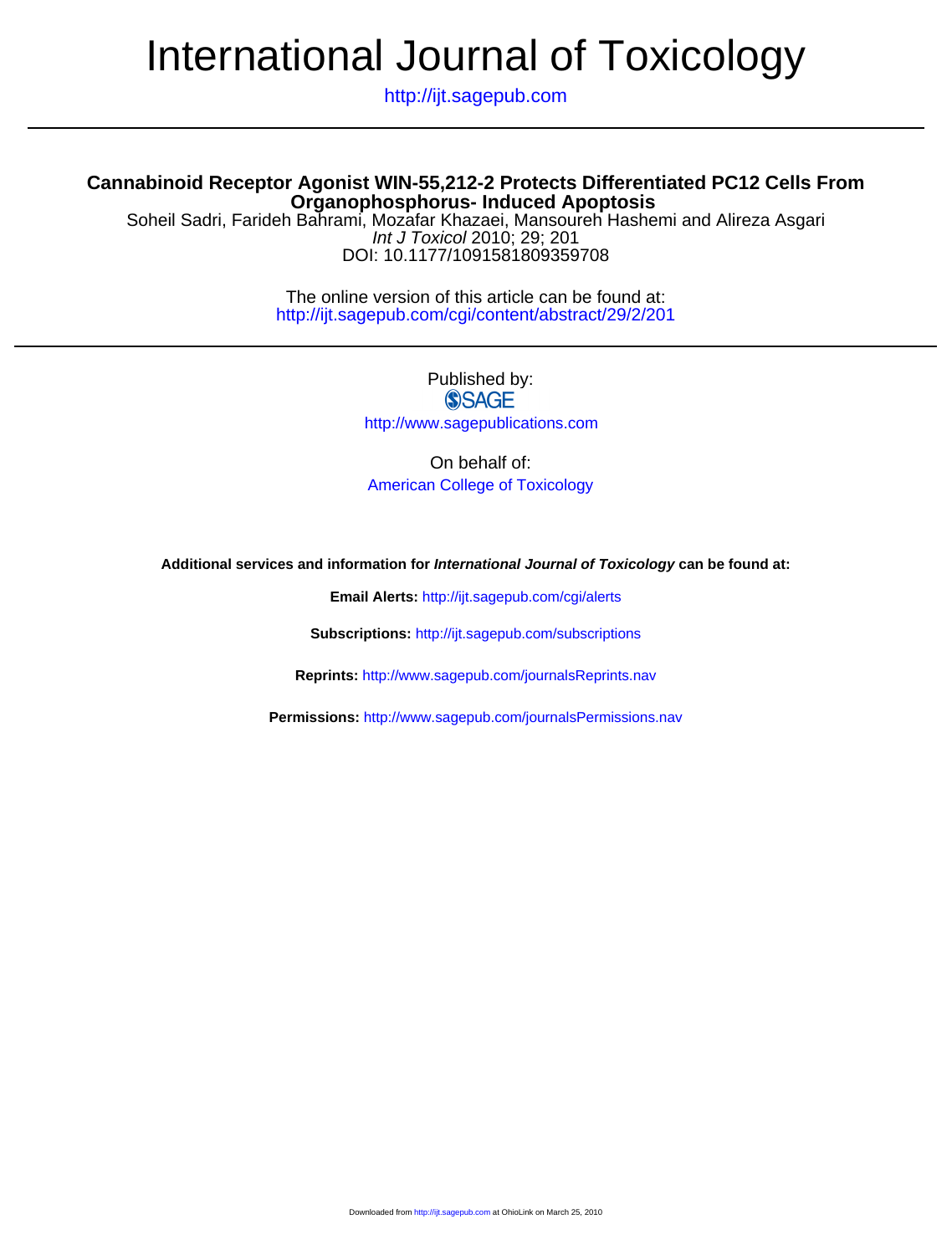# International Journal of Toxicology

http://ijt.sagepub.com

## **Organophosphorus- Induced Apoptosis Cannabinoid Receptor Agonist WIN-55,212-2 Protects Differentiated PC12 Cells From**

DOI: 10.1177/1091581809359708 Int J Toxicol 2010; 29; 201 Soheil Sadri, Farideh Bahrami, Mozafar Khazaei, Mansoureh Hashemi and Alireza Asgari

> http://ijt.sagepub.com/cgi/content/abstract/29/2/201 The online version of this article can be found at:

# Published by: **SSAGE** http://www.sagepublications.com

On behalf of: [American College of Toxicology](http://www.actox.org)

**Additional services and information for International Journal of Toxicology can be found at:**

**Email Alerts:** <http://ijt.sagepub.com/cgi/alerts>

**Subscriptions:** <http://ijt.sagepub.com/subscriptions>

**Reprints:** <http://www.sagepub.com/journalsReprints.nav>

**Permissions:** <http://www.sagepub.com/journalsPermissions.nav>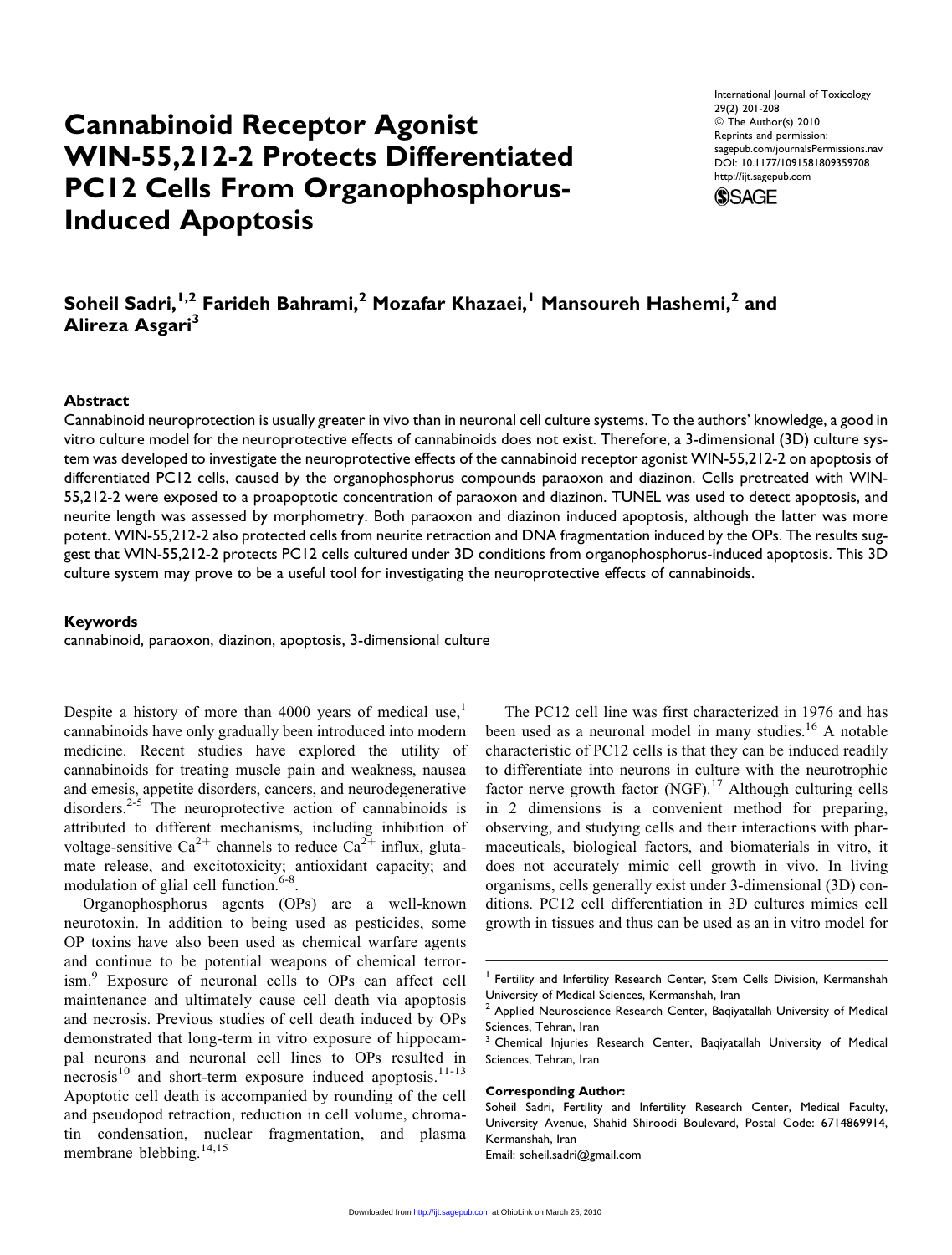#### Downloaded from<http://ijt.sagepub.com>at OhioLink on March 25, 2010

# Cannabinoid Receptor Agonist WIN-55,212-2 Protects Differentiated PC12 Cells From Organophosphorus-Induced Apoptosis

International Journal of Toxicology 29(2) 201-208 © The Author(s) 2010 Reprints and permission: sagepub.com/journalsPermissions.nav DOI: 10.1177/1091581809359708 http://ijt.sagepub.com



Soheil Sadri,<sup>1,2</sup> Farideh Bahrami,<sup>2</sup> Mozafar Khazaei,<sup>1</sup> Mansoureh Hashemi,<sup>2</sup> and Alireza Asgari<sup>3</sup>

#### Abstract

Cannabinoid neuroprotection is usually greater in vivo than in neuronal cell culture systems. To the authors' knowledge, a good in vitro culture model for the neuroprotective effects of cannabinoids does not exist. Therefore, a 3-dimensional (3D) culture system was developed to investigate the neuroprotective effects of the cannabinoid receptor agonist WIN-55,212-2 on apoptosis of differentiated PC12 cells, caused by the organophosphorus compounds paraoxon and diazinon. Cells pretreated with WIN-55,212-2 were exposed to a proapoptotic concentration of paraoxon and diazinon. TUNEL was used to detect apoptosis, and neurite length was assessed by morphometry. Both paraoxon and diazinon induced apoptosis, although the latter was more potent. WIN-55,212-2 also protected cells from neurite retraction and DNA fragmentation induced by the OPs. The results suggest that WIN-55,212-2 protects PC12 cells cultured under 3D conditions from organophosphorus-induced apoptosis. This 3D culture system may prove to be a useful tool for investigating the neuroprotective effects of cannabinoids.

#### Keywords

cannabinoid, paraoxon, diazinon, apoptosis, 3-dimensional culture

Despite a history of more than 4000 years of medical use, $<sup>1</sup>$ </sup> cannabinoids have only gradually been introduced into modern medicine. Recent studies have explored the utility of cannabinoids for treating muscle pain and weakness, nausea and emesis, appetite disorders, cancers, and neurodegenerative disorders.<sup>2-5</sup> The neuroprotective action of cannabinoids is attributed to different mechanisms, including inhibition of voltage-sensitive Ca<sup>2+</sup> channels to reduce Ca<sup>2+</sup> influx, glutamate release, and excitotoxicity; antioxidant capacity; and modulation of glial cell function. $6-8$ .

Organophosphorus agents (OPs) are a well-known neurotoxin. In addition to being used as pesticides, some OP toxins have also been used as chemical warfare agents and continue to be potential weapons of chemical terrorism.<sup>9</sup> Exposure of neuronal cells to OPs can affect cell maintenance and ultimately cause cell death via apoptosis and necrosis. Previous studies of cell death induced by OPs demonstrated that long-term in vitro exposure of hippocampal neurons and neuronal cell lines to OPs resulted in  $n$ ecrosis<sup>10</sup> and short-term exposure–induced apoptosis.<sup>11-13</sup> Apoptotic cell death is accompanied by rounding of the cell and pseudopod retraction, reduction in cell volume, chromatin condensation, nuclear fragmentation, and plasma membrane blebbing.<sup>14,15</sup>

The PC12 cell line was first characterized in 1976 and has been used as a neuronal model in many studies.<sup>16</sup> A notable characteristic of PC12 cells is that they can be induced readily to differentiate into neurons in culture with the neurotrophic factor nerve growth factor  $(NGF)$ .<sup>17</sup> Although culturing cells in 2 dimensions is a convenient method for preparing, observing, and studying cells and their interactions with pharmaceuticals, biological factors, and biomaterials in vitro, it does not accurately mimic cell growth in vivo. In living organisms, cells generally exist under 3-dimensional (3D) conditions. PC12 cell differentiation in 3D cultures mimics cell growth in tissues and thus can be used as an in vitro model for

#### Corresponding Author:

Email: soheil.sadri@gmail.com

<sup>&</sup>lt;sup>1</sup> Fertility and Infertility Research Center, Stem Cells Division, Kermanshah University of Medical Sciences, Kermanshah, Iran

Applied Neuroscience Research Center, Baqiyatallah University of Medical Sciences, Tehran, Iran

<sup>&</sup>lt;sup>3</sup> Chemical Injuries Research Center, Baqiyatallah University of Medical Sciences, Tehran, Iran

Soheil Sadri, Fertility and Infertility Research Center, Medical Faculty, University Avenue, Shahid Shiroodi Boulevard, Postal Code: 6714869914, Kermanshah, Iran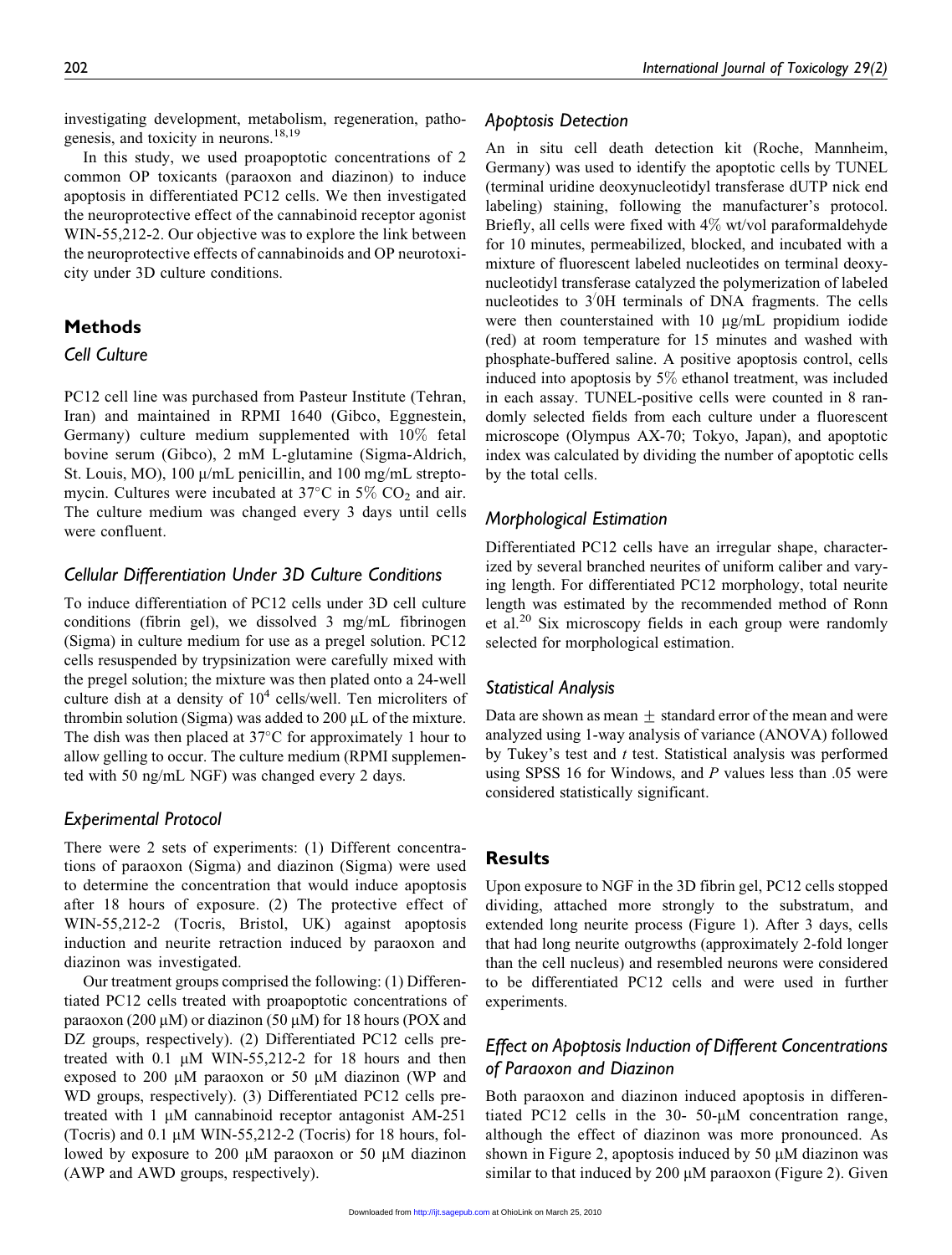investigating development, metabolism, regeneration, pathogenesis, and toxicity in neurons.<sup>18,19</sup>

In this study, we used proapoptotic concentrations of 2 common OP toxicants (paraoxon and diazinon) to induce apoptosis in differentiated PC12 cells. We then investigated the neuroprotective effect of the cannabinoid receptor agonist WIN-55,212-2. Our objective was to explore the link between the neuroprotective effects of cannabinoids and OP neurotoxicity under 3D culture conditions.

### Methods

# Cell Culture

PC12 cell line was purchased from Pasteur Institute (Tehran, Iran) and maintained in RPMI 1640 (Gibco, Eggnestein, Germany) culture medium supplemented with 10% fetal bovine serum (Gibco), 2 mM L-glutamine (Sigma-Aldrich, St. Louis, MO), 100  $\mu$ /mL penicillin, and 100 mg/mL streptomycin. Cultures were incubated at  $37^{\circ}$ C in  $5\%$  CO<sub>2</sub> and air. The culture medium was changed every 3 days until cells were confluent.

#### Cellular Differentiation Under 3D Culture Conditions

To induce differentiation of PC12 cells under 3D cell culture conditions (fibrin gel), we dissolved 3 mg/mL fibrinogen (Sigma) in culture medium for use as a pregel solution. PC12 cells resuspended by trypsinization were carefully mixed with the pregel solution; the mixture was then plated onto a 24-well culture dish at a density of  $10<sup>4</sup>$  cells/well. Ten microliters of thrombin solution (Sigma) was added to  $200 \mu L$  of the mixture. The dish was then placed at  $37^{\circ}$ C for approximately 1 hour to allow gelling to occur. The culture medium (RPMI supplemented with 50 ng/mL NGF) was changed every 2 days.

### Experimental Protocol

There were 2 sets of experiments: (1) Different concentrations of paraoxon (Sigma) and diazinon (Sigma) were used to determine the concentration that would induce apoptosis after 18 hours of exposure. (2) The protective effect of WIN-55,212-2 (Tocris, Bristol, UK) against apoptosis induction and neurite retraction induced by paraoxon and diazinon was investigated.

Our treatment groups comprised the following: (1) Differentiated PC12 cells treated with proapoptotic concentrations of paraoxon (200  $\mu$ M) or diazinon (50  $\mu$ M) for 18 hours (POX and DZ groups, respectively). (2) Differentiated PC12 cells pretreated with 0.1  $\mu$ M WIN-55,212-2 for 18 hours and then exposed to 200  $\mu$ M paraoxon or 50  $\mu$ M diazinon (WP and WD groups, respectively). (3) Differentiated PC12 cells pretreated with  $1 \mu M$  cannabinoid receptor antagonist AM-251 (Tocris) and  $0.1 \mu M$  WIN-55,212-2 (Tocris) for 18 hours, followed by exposure to 200  $\mu$ M paraoxon or 50  $\mu$ M diazinon (AWP and AWD groups, respectively).

#### Apoptosis Detection

An in situ cell death detection kit (Roche, Mannheim, Germany) was used to identify the apoptotic cells by TUNEL (terminal uridine deoxynucleotidyl transferase dUTP nick end labeling) staining, following the manufacturer's protocol. Briefly, all cells were fixed with 4% wt/vol paraformaldehyde for 10 minutes, permeabilized, blocked, and incubated with a mixture of fluorescent labeled nucleotides on terminal deoxynucleotidyl transferase catalyzed the polymerization of labeled nucleotides to 3/ 0H terminals of DNA fragments. The cells were then counterstained with 10 µg/mL propidium iodide (red) at room temperature for 15 minutes and washed with phosphate-buffered saline. A positive apoptosis control, cells induced into apoptosis by 5% ethanol treatment, was included in each assay. TUNEL-positive cells were counted in 8 randomly selected fields from each culture under a fluorescent microscope (Olympus AX-70; Tokyo, Japan), and apoptotic index was calculated by dividing the number of apoptotic cells by the total cells.

### Morphological Estimation

Differentiated PC12 cells have an irregular shape, characterized by several branched neurites of uniform caliber and varying length. For differentiated PC12 morphology, total neurite length was estimated by the recommended method of Ronn et al.<sup>20</sup> Six microscopy fields in each group were randomly selected for morphological estimation.

#### Statistical Analysis

Data are shown as mean  $\pm$  standard error of the mean and were analyzed using 1-way analysis of variance (ANOVA) followed by Tukey's test and  $t$  test. Statistical analysis was performed using SPSS 16 for Windows, and  $P$  values less than .05 were considered statistically significant.

### Results

Upon exposure to NGF in the 3D fibrin gel, PC12 cells stopped dividing, attached more strongly to the substratum, and extended long neurite process (Figure 1). After 3 days, cells that had long neurite outgrowths (approximately 2-fold longer than the cell nucleus) and resembled neurons were considered to be differentiated PC12 cells and were used in further experiments.

# Effect on Apoptosis Induction of Different Concentrations of Paraoxon and Diazinon

Both paraoxon and diazinon induced apoptosis in differentiated PC12 cells in the  $30-50-\mu M$  concentration range, although the effect of diazinon was more pronounced. As shown in Figure 2, apoptosis induced by  $50 \mu M$  diazinon was similar to that induced by 200  $\mu$ M paraoxon (Figure 2). Given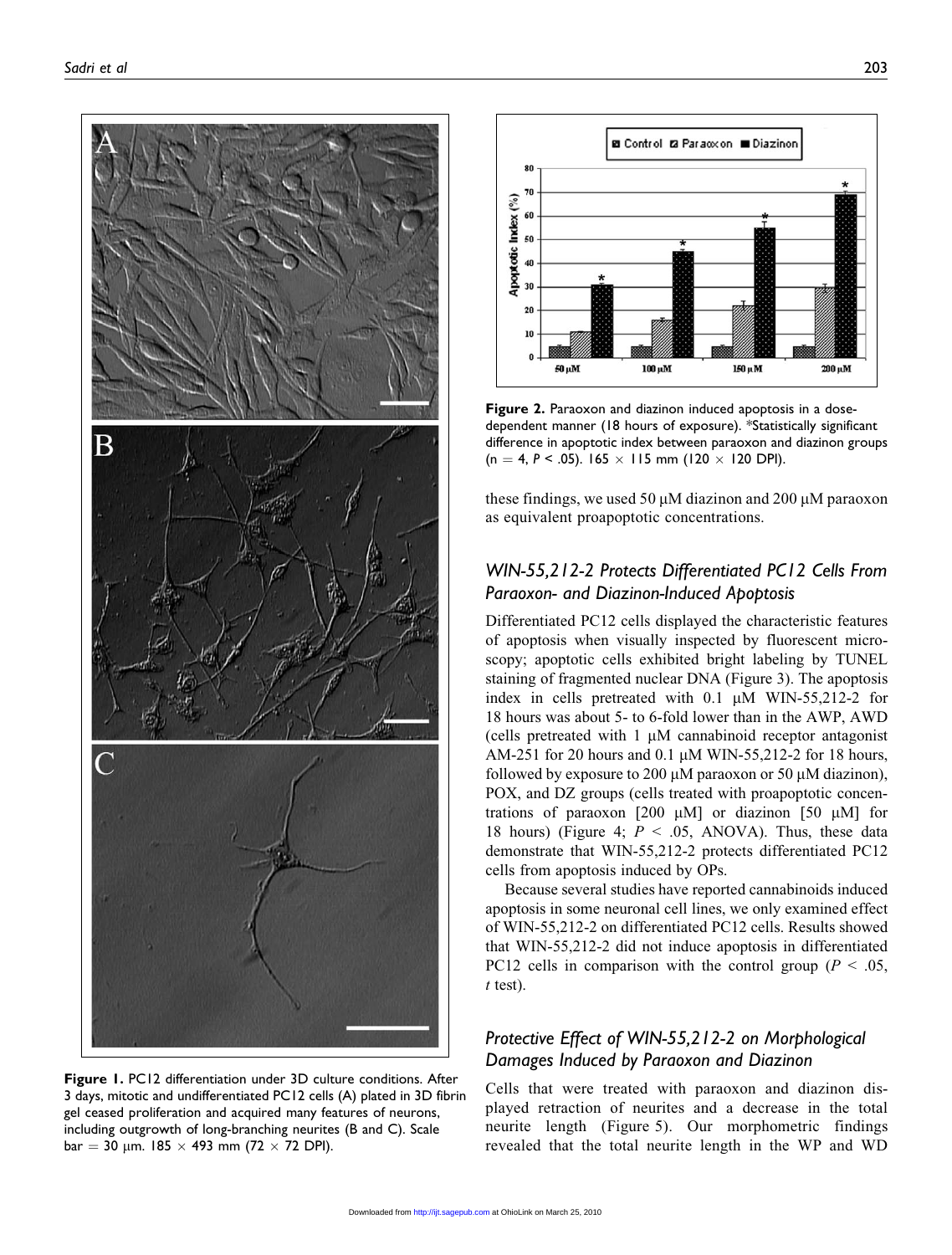

Figure 1. PC12 differentiation under 3D culture conditions. After 3 days, mitotic and undifferentiated PC12 cells (A) plated in 3D fibrin gel ceased proliferation and acquired many features of neurons, including outgrowth of long-branching neurites (B and C). Scale  $bar = 30 \mu m$ . 185  $\times$  493 mm (72  $\times$  72 DPI).



Figure 2. Paraoxon and diazinon induced apoptosis in a dosedependent manner (18 hours of exposure). \*Statistically significant difference in apoptotic index between paraoxon and diazinon groups  $(n = 4, P < .05)$ . 165  $\times$  115 mm (120  $\times$  120 DPI).

these findings, we used 50  $\mu$ M diazinon and 200  $\mu$ M paraoxon as equivalent proapoptotic concentrations.

# WIN-55,212-2 Protects Differentiated PC12 Cells From Paraoxon- and Diazinon-Induced Apoptosis

Differentiated PC12 cells displayed the characteristic features of apoptosis when visually inspected by fluorescent microscopy; apoptotic cells exhibited bright labeling by TUNEL staining of fragmented nuclear DNA (Figure 3). The apoptosis index in cells pretreated with  $0.1 \mu M$  WIN-55,212-2 for 18 hours was about 5- to 6-fold lower than in the AWP, AWD (cells pretreated with  $1 \mu M$  cannabinoid receptor antagonist AM-251 for 20 hours and 0.1  $\mu$ M WIN-55,212-2 for 18 hours, followed by exposure to 200  $\mu$ M paraoxon or 50  $\mu$ M diazinon), POX, and DZ groups (cells treated with proapoptotic concentrations of paraoxon  $[200 \mu M]$  or diazinon  $[50 \mu M]$  for 18 hours) (Figure 4;  $P \le 0.05$ , ANOVA). Thus, these data demonstrate that WIN-55,212-2 protects differentiated PC12 cells from apoptosis induced by OPs.

Because several studies have reported cannabinoids induced apoptosis in some neuronal cell lines, we only examined effect of WIN-55,212-2 on differentiated PC12 cells. Results showed that WIN-55,212-2 did not induce apoptosis in differentiated PC12 cells in comparison with the control group ( $P < .05$ ,  $t$  test).

## Protective Effect of WIN-55,212-2 on Morphological Damages Induced by Paraoxon and Diazinon

Cells that were treated with paraoxon and diazinon displayed retraction of neurites and a decrease in the total neurite length (Figure 5). Our morphometric findings revealed that the total neurite length in the WP and WD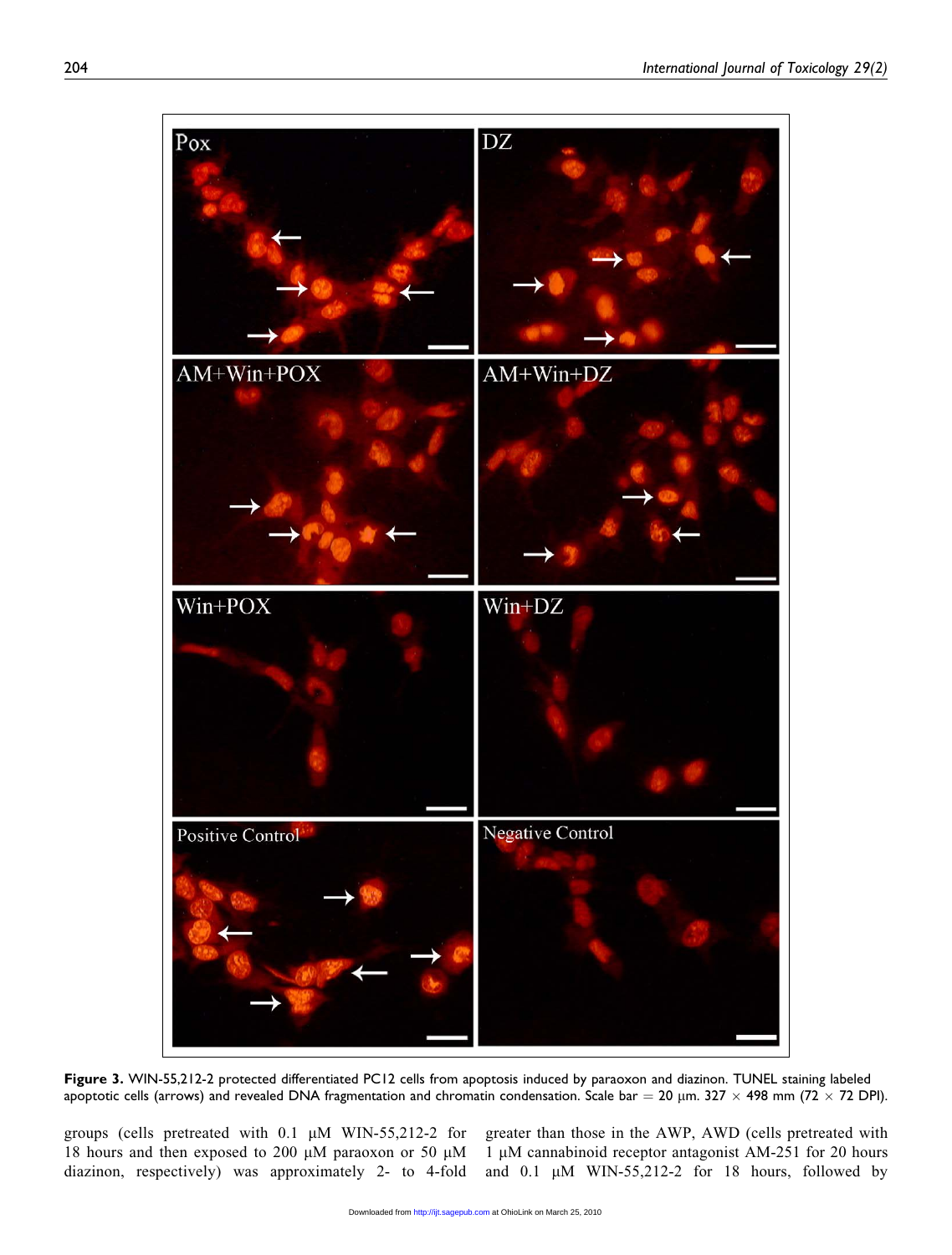

Figure 3. WIN-55,212-2 protected differentiated PC12 cells from apoptosis induced by paraoxon and diazinon. TUNEL staining labeled apoptotic cells (arrows) and revealed DNA fragmentation and chromatin condensation. Scale bar = 20  $\mu$ m. 327  $\times$  498 mm (72  $\times$  72 DPI).

groups (cells pretreated with 0.1 µM WIN-55,212-2 for 18 hours and then exposed to 200  $\mu$ M paraoxon or 50  $\mu$ M diazinon, respectively) was approximately 2- to 4-fold

greater than those in the AWP, AWD (cells pretreated with 1 μM cannabinoid receptor antagonist AM-251 for 20 hours and  $0.1 \mu M$  WIN-55,212-2 for 18 hours, followed by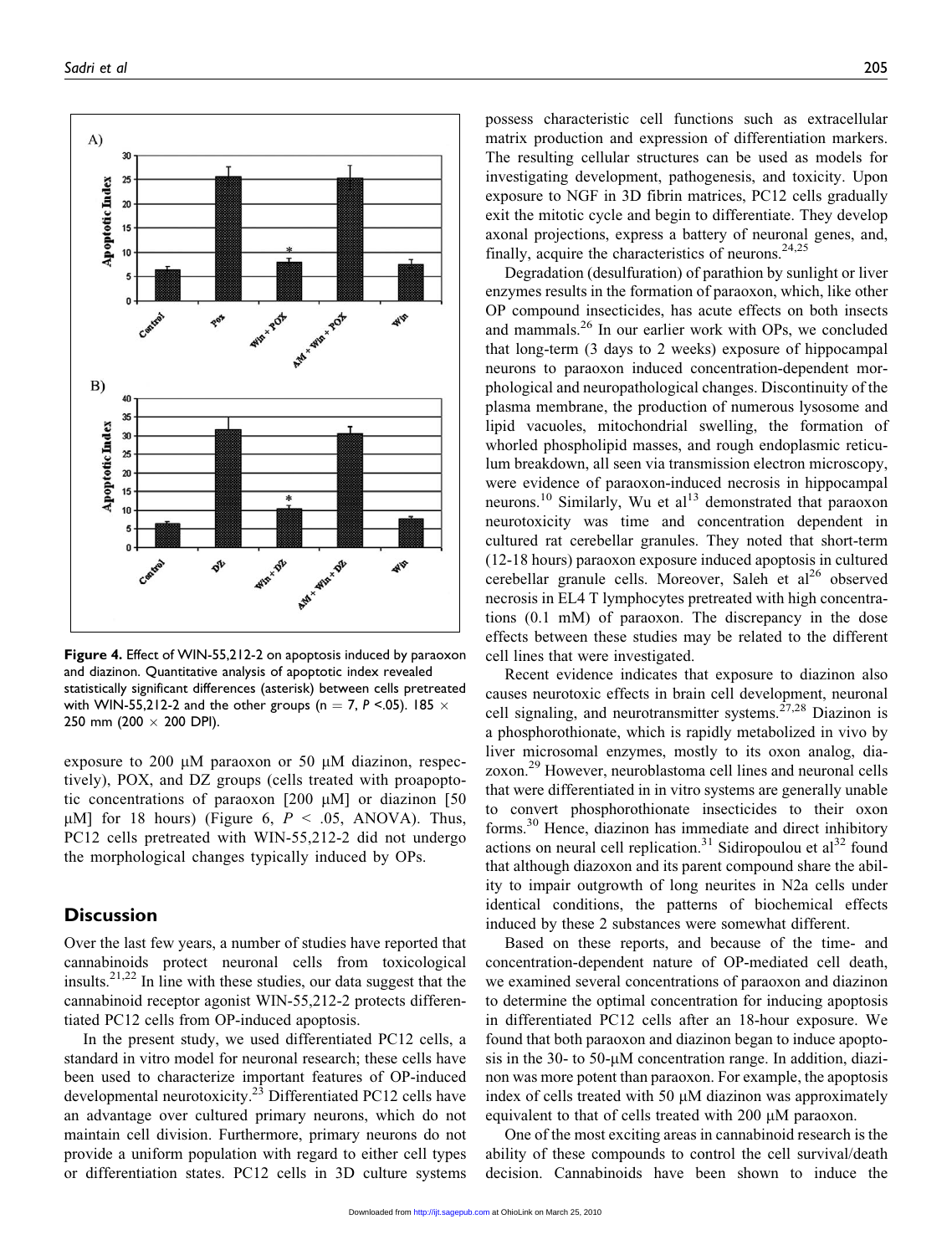

Figure 4. Effect of WIN-55,212-2 on apoptosis induced by paraoxon and diazinon. Quantitative analysis of apoptotic index revealed statistically significant differences (asterisk) between cells pretreated with WIN-55,212-2 and the other groups (n = 7, P <.05). 185  $\times$ 250 mm (200  $\times$  200 DPI).

exposure to 200  $\mu$ M paraoxon or 50  $\mu$ M diazinon, respectively), POX, and DZ groups (cells treated with proapoptotic concentrations of paraoxon  $[200 \mu M]$  or diazinon  $[50$  $\mu$ M] for 18 hours) (Figure 6,  $P < .05$ , ANOVA). Thus, PC12 cells pretreated with WIN-55,212-2 did not undergo the morphological changes typically induced by OPs.

### **Discussion**

Over the last few years, a number of studies have reported that cannabinoids protect neuronal cells from toxicological insults.21,22 In line with these studies, our data suggest that the cannabinoid receptor agonist WIN-55,212-2 protects differentiated PC12 cells from OP-induced apoptosis.

In the present study, we used differentiated PC12 cells, a standard in vitro model for neuronal research; these cells have been used to characterize important features of OP-induced developmental neurotoxicity.<sup>23</sup> Differentiated PC12 cells have an advantage over cultured primary neurons, which do not maintain cell division. Furthermore, primary neurons do not provide a uniform population with regard to either cell types or differentiation states. PC12 cells in 3D culture systems

possess characteristic cell functions such as extracellular matrix production and expression of differentiation markers. The resulting cellular structures can be used as models for investigating development, pathogenesis, and toxicity. Upon exposure to NGF in 3D fibrin matrices, PC12 cells gradually exit the mitotic cycle and begin to differentiate. They develop axonal projections, express a battery of neuronal genes, and, finally, acquire the characteristics of neurons.  $24,25$ 

Degradation (desulfuration) of parathion by sunlight or liver enzymes results in the formation of paraoxon, which, like other OP compound insecticides, has acute effects on both insects and mammals.<sup>26</sup> In our earlier work with OPs, we concluded that long-term (3 days to 2 weeks) exposure of hippocampal neurons to paraoxon induced concentration-dependent morphological and neuropathological changes. Discontinuity of the plasma membrane, the production of numerous lysosome and lipid vacuoles, mitochondrial swelling, the formation of whorled phospholipid masses, and rough endoplasmic reticulum breakdown, all seen via transmission electron microscopy, were evidence of paraoxon-induced necrosis in hippocampal neurons.<sup>10</sup> Similarly, Wu et al<sup>13</sup> demonstrated that paraoxon neurotoxicity was time and concentration dependent in cultured rat cerebellar granules. They noted that short-term (12-18 hours) paraoxon exposure induced apoptosis in cultured cerebellar granule cells. Moreover, Saleh et  $a^{26}$  observed necrosis in EL4 T lymphocytes pretreated with high concentrations (0.1 mM) of paraoxon. The discrepancy in the dose effects between these studies may be related to the different cell lines that were investigated.

Recent evidence indicates that exposure to diazinon also causes neurotoxic effects in brain cell development, neuronal cell signaling, and neurotransmitter systems.<sup> $27,28$ </sup> Diazinon is a phosphorothionate, which is rapidly metabolized in vivo by liver microsomal enzymes, mostly to its oxon analog, diazoxon.<sup>29</sup> However, neuroblastoma cell lines and neuronal cells that were differentiated in in vitro systems are generally unable to convert phosphorothionate insecticides to their oxon forms.<sup>30</sup> Hence, diazinon has immediate and direct inhibitory actions on neural cell replication.<sup>31</sup> Sidiropoulou et  $al<sup>32</sup>$  found that although diazoxon and its parent compound share the ability to impair outgrowth of long neurites in N2a cells under identical conditions, the patterns of biochemical effects induced by these 2 substances were somewhat different.

Based on these reports, and because of the time- and concentration-dependent nature of OP-mediated cell death, we examined several concentrations of paraoxon and diazinon to determine the optimal concentration for inducing apoptosis in differentiated PC12 cells after an 18-hour exposure. We found that both paraoxon and diazinon began to induce apoptosis in the 30- to 50- $\mu$ M concentration range. In addition, diazinon was more potent than paraoxon. For example, the apoptosis index of cells treated with 50  $\mu$ M diazinon was approximately equivalent to that of cells treated with  $200 \mu M$  paraoxon.

One of the most exciting areas in cannabinoid research is the ability of these compounds to control the cell survival/death decision. Cannabinoids have been shown to induce the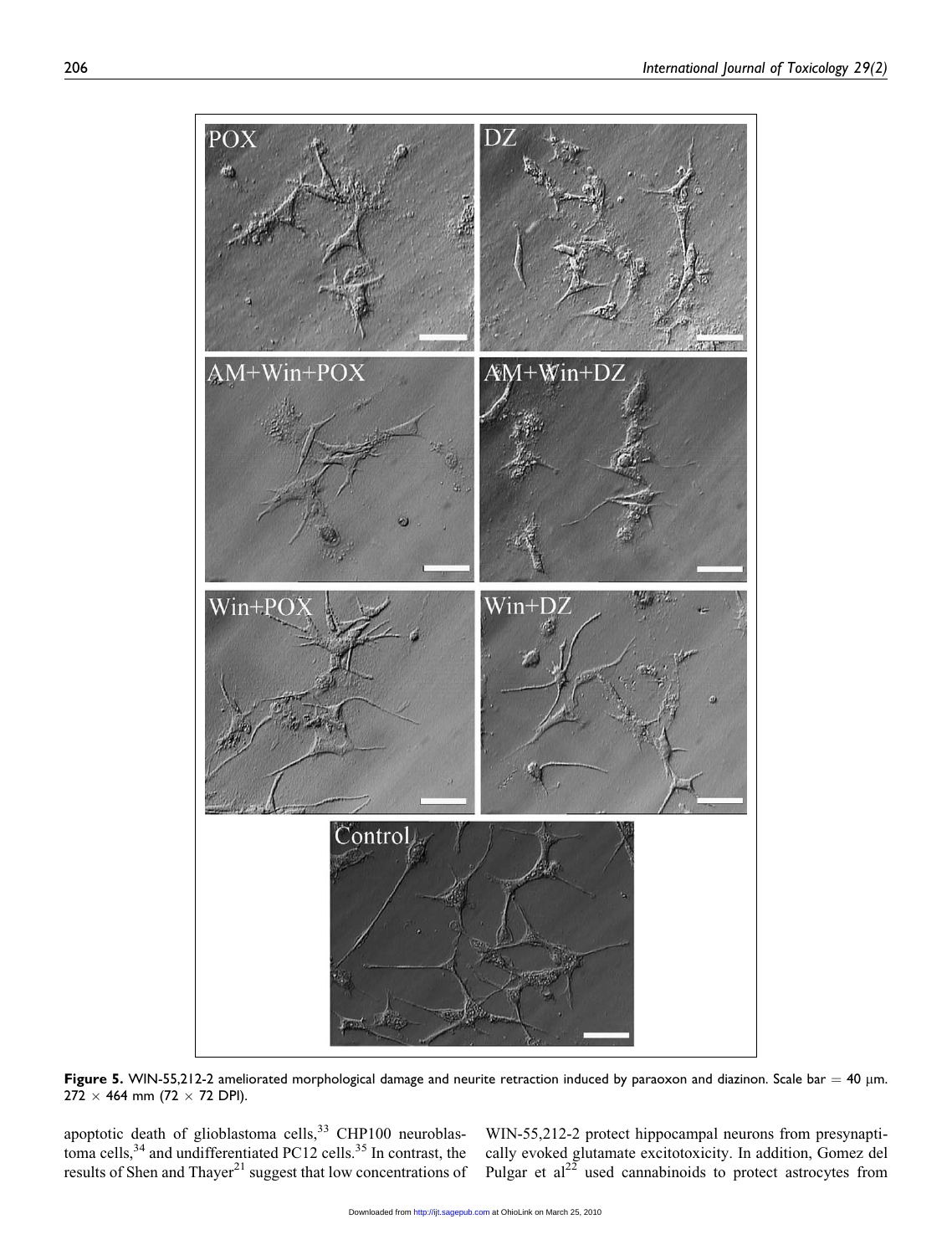

Figure 5. WIN-55,212-2 ameliorated morphological damage and neurite retraction induced by paraoxon and diazinon. Scale bar = 40 µm.  $272 \times 464$  mm (72  $\times$  72 DPI).

apoptotic death of glioblastoma cells,<sup>33</sup> CHP100 neuroblastoma cells, $34$  and undifferentiated PC12 cells. $35$  In contrast, the results of Shen and Thayer<sup>21</sup> suggest that low concentrations of WIN-55,212-2 protect hippocampal neurons from presynaptically evoked glutamate excitotoxicity. In addition, Gomez del Pulgar et  $al^{22}$  used cannabinoids to protect astrocytes from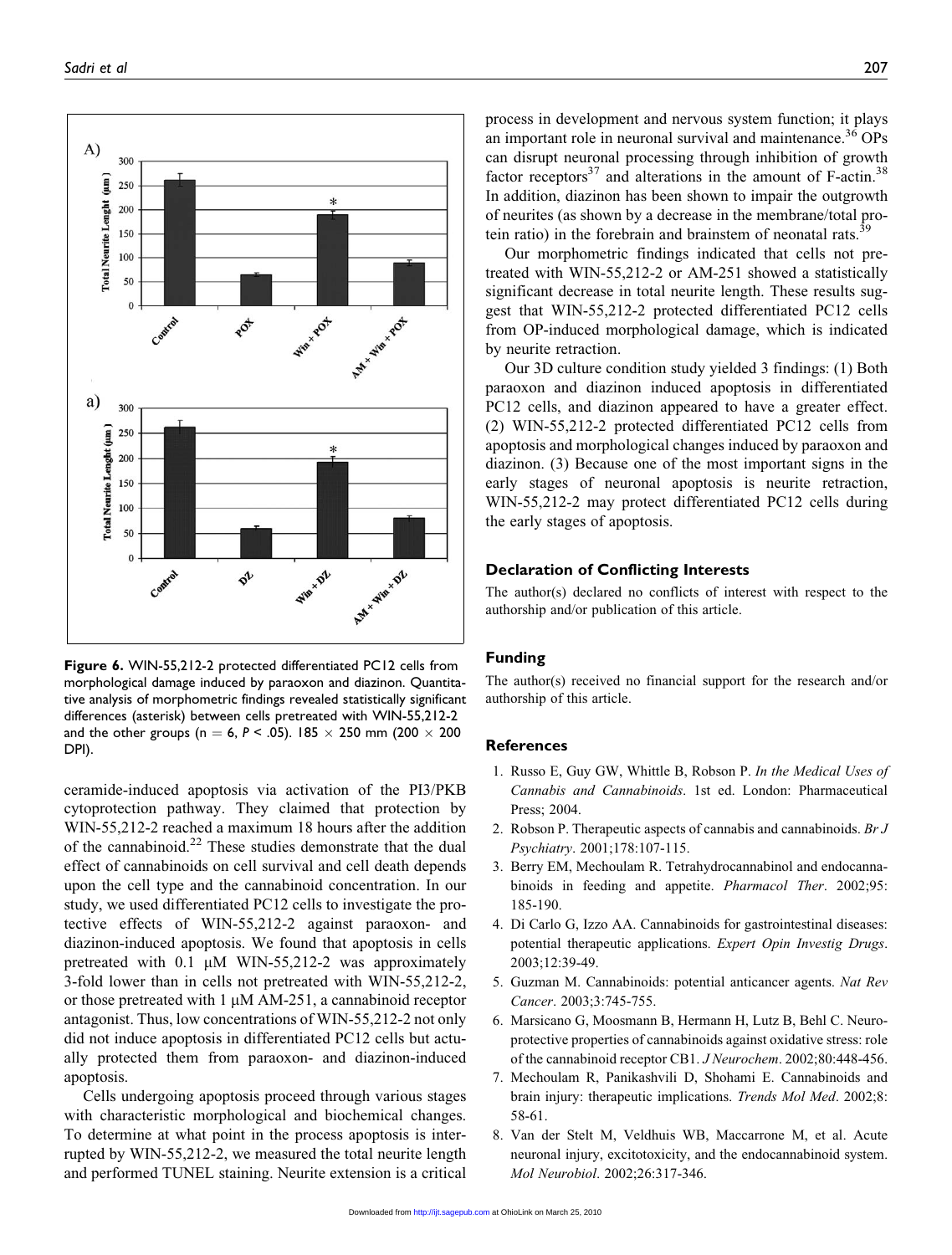

Figure 6. WIN-55,212-2 protected differentiated PC12 cells from morphological damage induced by paraoxon and diazinon. Quantitative analysis of morphometric findings revealed statistically significant differences (asterisk) between cells pretreated with WIN-55,212-2 and the other groups (n = 6, P < .05). 185  $\times$  250 mm (200  $\times$  200 DPI).

ceramide-induced apoptosis via activation of the PI3/PKB cytoprotection pathway. They claimed that protection by WIN-55,212-2 reached a maximum 18 hours after the addition of the cannabinoid.<sup>22</sup> These studies demonstrate that the dual effect of cannabinoids on cell survival and cell death depends upon the cell type and the cannabinoid concentration. In our study, we used differentiated PC12 cells to investigate the protective effects of WIN-55,212-2 against paraoxon- and diazinon-induced apoptosis. We found that apoptosis in cells pretreated with  $0.1 \mu M$  WIN-55,212-2 was approximately 3-fold lower than in cells not pretreated with WIN-55,212-2, or those pretreated with  $1 \mu M$  AM-251, a cannabinoid receptor antagonist. Thus, low concentrations of WIN-55,212-2 not only did not induce apoptosis in differentiated PC12 cells but actually protected them from paraoxon- and diazinon-induced apoptosis.

Cells undergoing apoptosis proceed through various stages with characteristic morphological and biochemical changes. To determine at what point in the process apoptosis is interrupted by WIN-55,212-2, we measured the total neurite length and performed TUNEL staining. Neurite extension is a critical process in development and nervous system function; it plays an important role in neuronal survival and maintenance.<sup>36</sup> OPs can disrupt neuronal processing through inhibition of growth factor receptors<sup>37</sup> and alterations in the amount of F-actin.<sup>38</sup> In addition, diazinon has been shown to impair the outgrowth of neurites (as shown by a decrease in the membrane/total protein ratio) in the forebrain and brainstem of neonatal rats.<sup>3</sup>

Our morphometric findings indicated that cells not pretreated with WIN-55,212-2 or AM-251 showed a statistically significant decrease in total neurite length. These results suggest that WIN-55,212-2 protected differentiated PC12 cells from OP-induced morphological damage, which is indicated by neurite retraction.

Our 3D culture condition study yielded 3 findings: (1) Both paraoxon and diazinon induced apoptosis in differentiated PC12 cells, and diazinon appeared to have a greater effect. (2) WIN-55,212-2 protected differentiated PC12 cells from apoptosis and morphological changes induced by paraoxon and diazinon. (3) Because one of the most important signs in the early stages of neuronal apoptosis is neurite retraction, WIN-55,212-2 may protect differentiated PC12 cells during the early stages of apoptosis.

#### Declaration of Conflicting Interests

The author(s) declared no conflicts of interest with respect to the authorship and/or publication of this article.

#### Funding

The author(s) received no financial support for the research and/or authorship of this article.

#### References

- 1. Russo E, Guy GW, Whittle B, Robson P. In the Medical Uses of Cannabis and Cannabinoids. 1st ed. London: Pharmaceutical Press; 2004.
- 2. Robson P. Therapeutic aspects of cannabis and cannabinoids. Br J Psychiatry. 2001;178:107-115.
- 3. Berry EM, Mechoulam R. Tetrahydrocannabinol and endocannabinoids in feeding and appetite. Pharmacol Ther. 2002;95: 185-190.
- 4. Di Carlo G, Izzo AA. Cannabinoids for gastrointestinal diseases: potential therapeutic applications. Expert Opin Investig Drugs. 2003;12:39-49.
- 5. Guzman M. Cannabinoids: potential anticancer agents. Nat Rev Cancer. 2003;3:745-755.
- 6. Marsicano G, Moosmann B, Hermann H, Lutz B, Behl C. Neuroprotective properties of cannabinoids against oxidative stress: role of the cannabinoid receptor CB1. J Neurochem. 2002;80:448-456.
- 7. Mechoulam R, Panikashvili D, Shohami E. Cannabinoids and brain injury: therapeutic implications. *Trends Mol Med.* 2002;8: 58-61.
- 8. Van der Stelt M, Veldhuis WB, Maccarrone M, et al. Acute neuronal injury, excitotoxicity, and the endocannabinoid system. Mol Neurobiol. 2002;26:317-346.